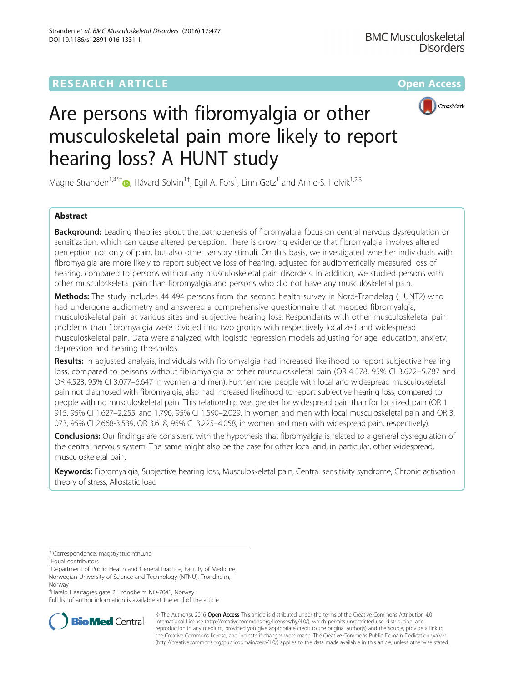# **RESEARCH ARTICLE Example 2014 12:30 The Community Community Community Community Community Community Community**



# Are persons with fibromyalgia or other musculoskeletal pain more likely to report hearing loss? A HUNT study

Magne Stranden<sup>1[,](http://orcid.org/0000-0003-1754-3709)4\*†</sup>®, Håvard Solvin<sup>1†</sup>, Egil A. Fors<sup>1</sup>, Linn Getz<sup>1</sup> and Anne-S. Helvik<sup>1,2,3</sup>

# Abstract

**Background:** Leading theories about the pathogenesis of fibromyalgia focus on central nervous dysregulation or sensitization, which can cause altered perception. There is growing evidence that fibromyalgia involves altered perception not only of pain, but also other sensory stimuli. On this basis, we investigated whether individuals with fibromyalgia are more likely to report subjective loss of hearing, adjusted for audiometrically measured loss of hearing, compared to persons without any musculoskeletal pain disorders. In addition, we studied persons with other musculoskeletal pain than fibromyalgia and persons who did not have any musculoskeletal pain.

Methods: The study includes 44 494 persons from the second health survey in Nord-Trøndelag (HUNT2) who had undergone audiometry and answered a comprehensive questionnaire that mapped fibromyalgia, musculoskeletal pain at various sites and subjective hearing loss. Respondents with other musculoskeletal pain problems than fibromyalgia were divided into two groups with respectively localized and widespread musculoskeletal pain. Data were analyzed with logistic regression models adjusting for age, education, anxiety, depression and hearing thresholds.

Results: In adjusted analysis, individuals with fibromyalgia had increased likelihood to report subjective hearing loss, compared to persons without fibromyalgia or other musculoskeletal pain (OR 4.578, 95% CI 3.622–5.787 and OR 4.523, 95% CI 3.077–6.647 in women and men). Furthermore, people with local and widespread musculoskeletal pain not diagnosed with fibromyalgia, also had increased likelihood to report subjective hearing loss, compared to people with no musculoskeletal pain. This relationship was greater for widespread pain than for localized pain (OR 1. 915, 95% CI 1.627–2.255, and 1.796, 95% CI 1.590–2.029, in women and men with local musculoskeletal pain and OR 3. 073, 95% CI 2.668-3.539, OR 3.618, 95% CI 3.225–4.058, in women and men with widespread pain, respectively).

Conclusions: Our findings are consistent with the hypothesis that fibromyalgia is related to a general dysregulation of the central nervous system. The same might also be the case for other local and, in particular, other widespread, musculoskeletal pain.

Keywords: Fibromyalgia, Subjective hearing loss, Musculoskeletal pain, Central sensitivity syndrome, Chronic activation theory of stress, Allostatic load

<sup>1</sup>Department of Public Health and General Practice, Faculty of Medicine, Norwegian University of Science and Technology (NTNU), Trondheim, Norway

4 Harald Haarfagres gate 2, Trondheim NO-7041, Norway

Full list of author information is available at the end of the article



© The Author(s). 2016 Open Access This article is distributed under the terms of the Creative Commons Attribution 4.0 International License [\(http://creativecommons.org/licenses/by/4.0/](http://creativecommons.org/licenses/by/4.0/)), which permits unrestricted use, distribution, and reproduction in any medium, provided you give appropriate credit to the original author(s) and the source, provide a link to the Creative Commons license, and indicate if changes were made. The Creative Commons Public Domain Dedication waiver [\(http://creativecommons.org/publicdomain/zero/1.0/](http://creativecommons.org/publicdomain/zero/1.0/)) applies to the data made available in this article, unless otherwise stated.

<sup>\*</sup> Correspondence: [magst@stud.ntnu.no](mailto:magst@stud.ntnu.no) †

Equal contributors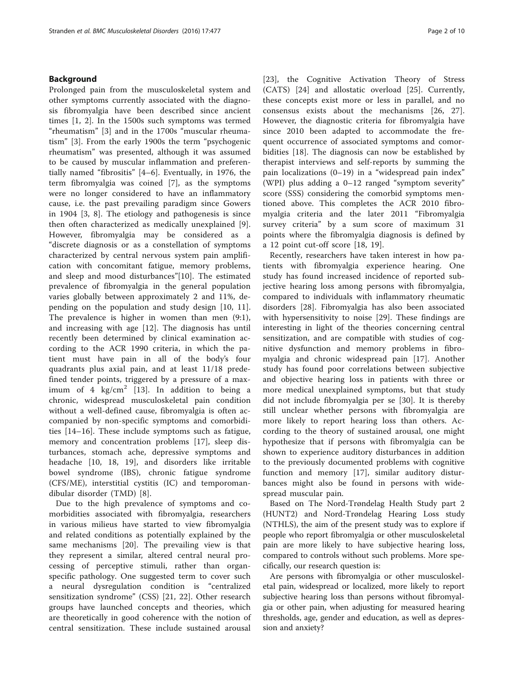## Background

Prolonged pain from the musculoskeletal system and other symptoms currently associated with the diagnosis fibromyalgia have been described since ancient times [[1, 2](#page-9-0)]. In the 1500s such symptoms was termed "rheumatism" [[3](#page-9-0)] and in the 1700s "muscular rheumatism" [[3\]](#page-9-0). From the early 1900s the term "psychogenic rheumatism" was presented, although it was assumed to be caused by muscular inflammation and preferentially named "fibrositis" [[4](#page-9-0)–[6\]](#page-9-0). Eventually, in 1976, the term fibromyalgia was coined [\[7](#page-9-0)], as the symptoms were no longer considered to have an inflammatory cause, i.e. the past prevailing paradigm since Gowers in 1904 [[3, 8](#page-9-0)]. The etiology and pathogenesis is since then often characterized as medically unexplained [[9](#page-9-0)]. However, fibromyalgia may be considered as a "discrete diagnosis or as a constellation of symptoms characterized by central nervous system pain amplification with concomitant fatigue, memory problems, and sleep and mood disturbances"[[10\]](#page-9-0). The estimated prevalence of fibromyalgia in the general population varies globally between approximately 2 and 11%, depending on the population and study design [\[10](#page-9-0), [11](#page-9-0)]. The prevalence is higher in women than men (9:1), and increasing with age [\[12](#page-9-0)]. The diagnosis has until recently been determined by clinical examination according to the ACR 1990 criteria, in which the patient must have pain in all of the body's four quadrants plus axial pain, and at least 11/18 predefined tender points, triggered by a pressure of a max-imum of 4 kg/cm<sup>2</sup> [\[13](#page-9-0)]. In addition to being a chronic, widespread musculoskeletal pain condition without a well-defined cause, fibromyalgia is often accompanied by non-specific symptoms and comorbidities [\[14](#page-9-0)–[16](#page-9-0)]. These include symptoms such as fatigue, memory and concentration problems [[17\]](#page-9-0), sleep disturbances, stomach ache, depressive symptoms and headache [[10, 18](#page-9-0), [19\]](#page-9-0), and disorders like irritable bowel syndrome (IBS), chronic fatigue syndrome (CFS/ME), interstitial cystitis (IC) and temporomandibular disorder (TMD) [\[8](#page-9-0)].

Due to the high prevalence of symptoms and comorbidities associated with fibromyalgia, researchers in various milieus have started to view fibromyalgia and related conditions as potentially explained by the same mechanisms [[20\]](#page-9-0). The prevailing view is that they represent a similar, altered central neural processing of perceptive stimuli, rather than organspecific pathology. One suggested term to cover such a neural dysregulation condition is "centralized sensitization syndrome" (CSS) [[21, 22\]](#page-9-0). Other research groups have launched concepts and theories, which are theoretically in good coherence with the notion of central sensitization. These include sustained arousal [[23\]](#page-9-0), the Cognitive Activation Theory of Stress (CATS) [[24\]](#page-9-0) and allostatic overload [[25\]](#page-9-0). Currently, these concepts exist more or less in parallel, and no consensus exists about the mechanisms [[26, 27](#page-9-0)]. However, the diagnostic criteria for fibromyalgia have since 2010 been adapted to accommodate the frequent occurrence of associated symptoms and comorbidities [\[18](#page-9-0)]. The diagnosis can now be established by therapist interviews and self-reports by summing the pain localizations (0–19) in a "widespread pain index" (WPI) plus adding a 0–12 ranged "symptom severity" score (SSS) considering the comorbid symptoms mentioned above. This completes the ACR 2010 fibromyalgia criteria and the later 2011 "Fibromyalgia survey criteria" by a sum score of maximum 31 points where the fibromyalgia diagnosis is defined by a 12 point cut-off score [[18, 19\]](#page-9-0).

Recently, researchers have taken interest in how patients with fibromyalgia experience hearing. One study has found increased incidence of reported subjective hearing loss among persons with fibromyalgia, compared to individuals with inflammatory rheumatic disorders [\[28](#page-9-0)]. Fibromyalgia has also been associated with hypersensitivity to noise [[29](#page-9-0)]. These findings are interesting in light of the theories concerning central sensitization, and are compatible with studies of cognitive dysfunction and memory problems in fibromyalgia and chronic widespread pain [\[17](#page-9-0)]. Another study has found poor correlations between subjective and objective hearing loss in patients with three or more medical unexplained symptoms, but that study did not include fibromyalgia per se [[30\]](#page-9-0). It is thereby still unclear whether persons with fibromyalgia are more likely to report hearing loss than others. According to the theory of sustained arousal, one might hypothesize that if persons with fibromyalgia can be shown to experience auditory disturbances in addition to the previously documented problems with cognitive function and memory [[17\]](#page-9-0), similar auditory disturbances might also be found in persons with widespread muscular pain.

Based on The Nord-Trøndelag Health Study part 2 (HUNT2) and Nord-Trøndelag Hearing Loss study (NTHLS), the aim of the present study was to explore if people who report fibromyalgia or other musculoskeletal pain are more likely to have subjective hearing loss, compared to controls without such problems. More specifically, our research question is:

Are persons with fibromyalgia or other musculoskeletal pain, widespread or localized, more likely to report subjective hearing loss than persons without fibromyalgia or other pain, when adjusting for measured hearing thresholds, age, gender and education, as well as depression and anxiety?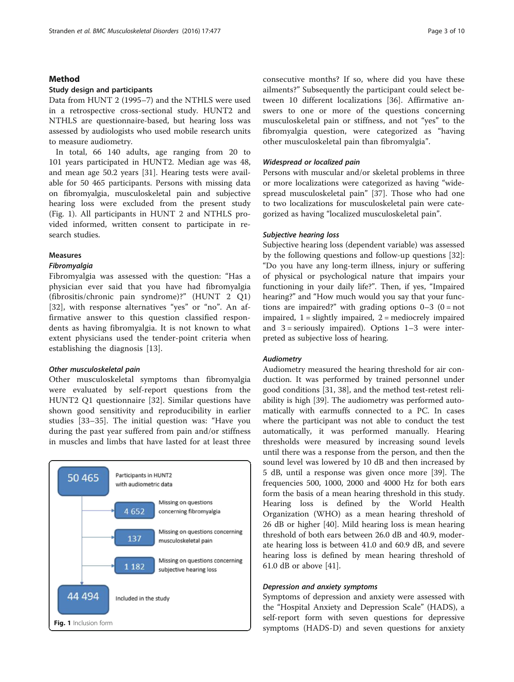## Method

## Study design and participants

Data from HUNT 2 (1995–7) and the NTHLS were used in a retrospective cross-sectional study. HUNT2 and NTHLS are questionnaire-based, but hearing loss was assessed by audiologists who used mobile research units to measure audiometry.

In total, 66 140 adults, age ranging from 20 to 101 years participated in HUNT2. Median age was 48, and mean age 50.2 years [[31](#page-9-0)]. Hearing tests were available for 50 465 participants. Persons with missing data on fibromyalgia, musculoskeletal pain and subjective hearing loss were excluded from the present study (Fig. 1). All participants in HUNT 2 and NTHLS provided informed, written consent to participate in research studies.

## Measures

#### Fibromyalgia

Fibromyalgia was assessed with the question: "Has a physician ever said that you have had fibromyalgia (fibrositis/chronic pain syndrome)?" (HUNT 2 Q1) [[32](#page-9-0)], with response alternatives "yes" or "no". An affirmative answer to this question classified respondents as having fibromyalgia. It is not known to what extent physicians used the tender-point criteria when establishing the diagnosis [[13\]](#page-9-0).

## Other musculoskeletal pain

Other musculoskeletal symptoms than fibromyalgia were evaluated by self-report questions from the HUNT2 Q1 questionnaire [\[32](#page-9-0)]. Similar questions have shown good sensitivity and reproducibility in earlier studies [[33](#page-9-0)–[35](#page-9-0)]. The initial question was: "Have you during the past year suffered from pain and/or stiffness in muscles and limbs that have lasted for at least three



consecutive months? If so, where did you have these ailments?" Subsequently the participant could select between 10 different localizations [[36](#page-9-0)]. Affirmative answers to one or more of the questions concerning musculoskeletal pain or stiffness, and not "yes" to the fibromyalgia question, were categorized as "having other musculoskeletal pain than fibromyalgia".

## Widespread or localized pain

Persons with muscular and/or skeletal problems in three or more localizations were categorized as having "widespread musculoskeletal pain" [[37\]](#page-9-0). Those who had one to two localizations for musculoskeletal pain were categorized as having "localized musculoskeletal pain".

#### Subjective hearing loss

Subjective hearing loss (dependent variable) was assessed by the following questions and follow-up questions [\[32](#page-9-0)]: "Do you have any long-term illness, injury or suffering of physical or psychological nature that impairs your functioning in your daily life?". Then, if yes, "Impaired hearing?" and "How much would you say that your functions are impaired?" with grading options  $0-3$  ( $0 = not$ ) impaired,  $1 =$  slightly impaired,  $2 =$  mediocrely impaired and  $3 =$  seriously impaired). Options  $1-3$  were interpreted as subjective loss of hearing.

## Audiometry

Audiometry measured the hearing threshold for air conduction. It was performed by trained personnel under good conditions [[31, 38\]](#page-9-0), and the method test-retest reliability is high [\[39\]](#page-9-0). The audiometry was performed automatically with earmuffs connected to a PC. In cases where the participant was not able to conduct the test automatically, it was performed manually. Hearing thresholds were measured by increasing sound levels until there was a response from the person, and then the sound level was lowered by 10 dB and then increased by 5 dB, until a response was given once more [[39\]](#page-9-0). The frequencies 500, 1000, 2000 and 4000 Hz for both ears form the basis of a mean hearing threshold in this study. Hearing loss is defined by the World Health Organization (WHO) as a mean hearing threshold of 26 dB or higher [[40\]](#page-9-0). Mild hearing loss is mean hearing threshold of both ears between 26.0 dB and 40.9, moderate hearing loss is between 41.0 and 60.9 dB, and severe hearing loss is defined by mean hearing threshold of 61.0 dB or above [[41\]](#page-9-0).

## Depression and anxiety symptoms

Symptoms of depression and anxiety were assessed with the "Hospital Anxiety and Depression Scale" (HADS), a self-report form with seven questions for depressive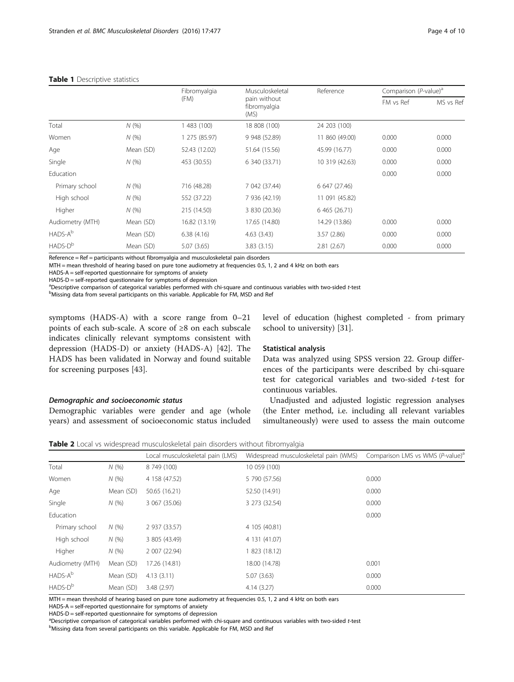|                     |           | Fibromyalgia  | Musculoskeletal                      | Reference      | Comparison $(P$ -value) <sup>a</sup> |           |
|---------------------|-----------|---------------|--------------------------------------|----------------|--------------------------------------|-----------|
|                     |           | (FM)          | pain without<br>fibromyalgia<br>(MS) |                | FM vs Ref                            | MS vs Ref |
| Total               | N(%       | 483 (100)     | 18 808 (100)                         | 24 203 (100)   |                                      |           |
| Women               | N(%       | 1 275 (85.97) | 9 948 (52.89)                        | 11 860 (49.00) | 0.000                                | 0.000     |
| Age                 | Mean (SD) | 52.43 (12.02) | 51.64 (15.56)                        | 45.99 (16.77)  | 0.000                                | 0.000     |
| Single              | N(%       | 453 (30.55)   | 6 340 (33.71)                        | 10 319 (42.63) | 0.000                                | 0.000     |
| Education           |           |               |                                      |                | 0.000                                | 0.000     |
| Primary school      | N(%       | 716 (48.28)   | 7 042 (37.44)                        | 6 647 (27.46)  |                                      |           |
| High school         | N(%)      | 552 (37.22)   | 7 936 (42.19)                        | 11 091 (45.82) |                                      |           |
| Higher              | N(%       | 215 (14.50)   | 3 830 (20.36)                        | 6 465 (26.71)  |                                      |           |
| Audiometry (MTH)    | Mean (SD) | 16.82 (13.19) | 17.65 (14.80)                        | 14.29 (13.86)  | 0.000                                | 0.000     |
| HADS-A <sup>b</sup> | Mean (SD) | 6.38(4.16)    | 4.63(3.43)                           | 3.57(2.86)     | 0.000                                | 0.000     |
| $HADS-Db$           | Mean (SD) | 5.07(3.65)    | 3.83(3.15)                           | 2.81(2.67)     | 0.000                                | 0.000     |

#### <span id="page-3-0"></span>Table 1 Descriptive statistics

Reference = Ref = participants without fibromyalgia and musculoskeletal pain disorders

MTH = mean threshold of hearing based on pure tone audiometry at frequencies 0.5, 1, 2 and 4 kHz on both ears

HADS-A = self-reported questionnaire for symptoms of anxiety

HADS-D = self-reported questionnaire for symptoms of depression

<sup>a</sup>Descriptive comparison of categorical variables performed with chi-square and continuous variables with two-sided t-test building the state of the state of the state of the state of the state of the state of the state o

Missing data from several participants on this variable. Applicable for FM, MSD and Ref

symptoms (HADS-A) with a score range from 0–21 points of each sub-scale. A score of ≥8 on each subscale indicates clinically relevant symptoms consistent with depression (HADS-D) or anxiety (HADS-A) [\[42](#page-9-0)]. The HADS has been validated in Norway and found suitable for screening purposes [[43](#page-9-0)].

## Demographic and socioeconomic status

Demographic variables were gender and age (whole years) and assessment of socioeconomic status included level of education (highest completed - from primary school to university) [\[31](#page-9-0)].

## Statistical analysis

Data was analyzed using SPSS version 22. Group differences of the participants were described by chi-square test for categorical variables and two-sided t-test for continuous variables.

Unadjusted and adjusted logistic regression analyses (the Enter method, i.e. including all relevant variables simultaneously) were used to assess the main outcome

Table 2 Local vs widespread musculoskeletal pain disorders without fibromyalgia

|                     |           | Local musculoskeletal pain (LMS) | Widespread musculoskeletal pain (WMS) | Comparison LMS vs WMS (P-value) <sup>®</sup> |
|---------------------|-----------|----------------------------------|---------------------------------------|----------------------------------------------|
| Total               | N(%       | 8 749 (100)                      | 10 059 (100)                          |                                              |
| Women               | N(%       | 4 158 (47.52)                    | 5 790 (57.56)                         | 0.000                                        |
| Age                 | Mean (SD) | 50.65 (16.21)                    | 52.50 (14.91)                         | 0.000                                        |
| Single              | N(%       | 3 067 (35.06)                    | 3 273 (32.54)                         | 0.000                                        |
| Education           |           |                                  |                                       | 0.000                                        |
| Primary school      | N(%       | 2 937 (33.57)                    | 4 105 (40.81)                         |                                              |
| High school         | N(%       | 3 805 (43.49)                    | 4 131 (41.07)                         |                                              |
| Higher              | N(%       | 2 007 (22.94)                    | 1 823 (18.12)                         |                                              |
| Audiometry (MTH)    | Mean (SD) | 17.26 (14.81)                    | 18.00 (14.78)                         | 0.001                                        |
| HADS-A <sup>b</sup> | Mean (SD) | 4.13(3.11)                       | 5.07(3.63)                            | 0.000                                        |
| HADS-D <sup>b</sup> | Mean (SD) | 3.48(2.97)                       | 4.14(3.27)                            | 0.000                                        |

MTH = mean threshold of hearing based on pure tone audiometry at frequencies 0.5, 1, 2 and 4 kHz on both ears

HADS-A = self-reported questionnaire for symptoms of anxiety

HADS-D = self-reported questionnaire for symptoms of depression

<sup>a</sup>Descriptive comparison of categorical variables performed with chi-square and continuous variables with two-sided t-test building the state of the state of the state of the state of the state of the state of the state o

<sup>b</sup>Missing data from several participants on this variable. Applicable for FM, MSD and Ref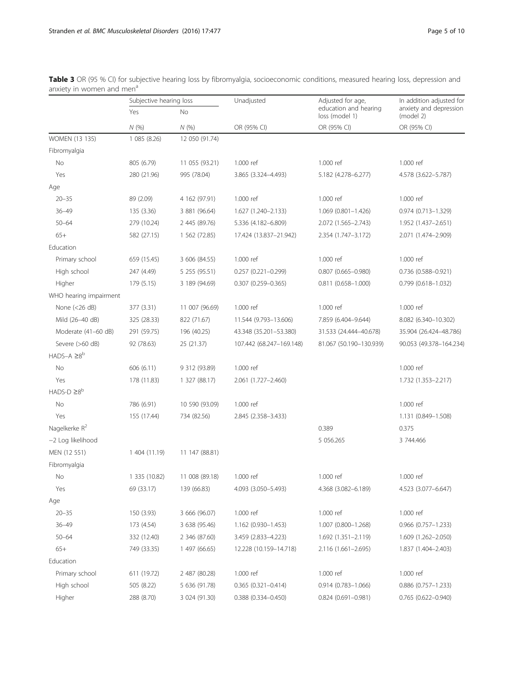|                           | Subjective hearing loss |                | Unadjusted                | Adjusted for age,                       | In addition adjusted for            |
|---------------------------|-------------------------|----------------|---------------------------|-----------------------------------------|-------------------------------------|
|                           | Yes                     | No             |                           | education and hearing<br>loss (model 1) | anxiety and depression<br>(model 2) |
|                           | N(%                     | N(%)           | OR (95% CI)               | OR (95% CI)                             | OR (95% CI)                         |
| WOMEN (13 135)            | 1 085 (8.26)            | 12 050 (91.74) |                           |                                         |                                     |
| Fibromyalgia              |                         |                |                           |                                         |                                     |
| No                        | 805 (6.79)              | 11 055 (93.21) | 1.000 ref                 | 1.000 ref                               | 1.000 ref                           |
| Yes                       | 280 (21.96)             | 995 (78.04)    | 3.865 (3.324-4.493)       | 5.182 (4.278-6.277)                     | 4.578 (3.622-5.787)                 |
| Age                       |                         |                |                           |                                         |                                     |
| $20 - 35$                 | 89 (2.09)               | 4 162 (97.91)  | 1.000 ref                 | 1.000 ref                               | 1.000 ref                           |
| $36 - 49$                 | 135 (3.36)              | 3 881 (96.64)  | 1.627 (1.240-2.133)       | 1.069 (0.801-1.426)                     | 0.974 (0.713-1.329)                 |
| $50 - 64$                 | 279 (10.24)             | 2 445 (89.76)  | 5.336 (4.182-6.809)       | 2.072 (1.565-2.743)                     | 1.952 (1.437–2.651)                 |
| $65+$                     | 582 (27.15)             | 1 562 (72.85)  | 17.424 (13.837-21.942)    | 2.354 (1.747-3.172)                     | 2.071 (1.474-2.909)                 |
| Education                 |                         |                |                           |                                         |                                     |
| Primary school            | 659 (15.45)             | 3 606 (84.55)  | 1.000 ref                 | 1.000 ref                               | 1.000 ref                           |
| High school               | 247 (4.49)              | 5 255 (95.51)  | $0.257$ $(0.221 - 0.299)$ | $0.807$ $(0.665 - 0.980)$               | 0.736 (0.588-0.921)                 |
| Higher                    | 179 (5.15)              | 3 189 (94.69)  | $0.307$ $(0.259 - 0.365)$ | $0.811(0.658 - 1.000)$                  | $0.799$ $(0.618 - 1.032)$           |
| WHO hearing impairment    |                         |                |                           |                                         |                                     |
| None $(<26$ dB)           | 377 (3.31)              | 11 007 (96.69) | 1.000 ref                 | 1.000 ref                               | 1.000 ref                           |
| Mild (26-40 dB)           | 325 (28.33)             | 822 (71.67)    | 11.544 (9.793-13.606)     | 7.859 (6.404-9.644)                     | 8.082 (6.340-10.302)                |
| Moderate (41-60 dB)       | 291 (59.75)             | 196 (40.25)    | 43.348 (35.201-53.380)    | 31.533 (24.444-40.678)                  | 35.904 (26.424-48.786)              |
| Severe (>60 dB)           | 92 (78.63)              | 25 (21.37)     | 107.442 (68.247-169.148)  | 81.067 (50.190-130.939)                 | 90.053 (49.378-164.234)             |
| $HADS-A \geq 8^b$         |                         |                |                           |                                         |                                     |
| No                        | 606 (6.11)              | 9 312 (93.89)  | 1.000 ref                 |                                         | 1.000 ref                           |
| Yes                       | 178 (11.83)             | 1 327 (88.17)  | 2.061 (1.727-2.460)       |                                         | 1.732 (1.353-2.217)                 |
| $HADS-D \geq 8^b$         |                         |                |                           |                                         |                                     |
| No                        | 786 (6.91)              | 10 590 (93.09) | 1.000 ref                 |                                         | 1.000 ref                           |
| Yes                       | 155 (17.44)             | 734 (82.56)    | 2.845 (2.358-3.433)       |                                         | 1.131 (0.849-1.508)                 |
| Nagelkerke R <sup>2</sup> |                         |                |                           | 0.389                                   | 0.375                               |
| -2 Log likelihood         |                         |                |                           | 5 056.265                               | 3 744.466                           |
| MEN (12 551)              | 1 404 (11.19)           | 11 147 (88.81) |                           |                                         |                                     |
| Fibromyalgia              |                         |                |                           |                                         |                                     |
| No                        | 1 335 (10.82)           | 11 008 (89.18) | 1.000 ref                 | 1.000 ref                               | 1.000 ref                           |
| Yes                       | 69 (33.17)              | 139 (66.83)    | 4.093 (3.050-5.493)       | 4.368 (3.082-6.189)                     | 4.523 (3.077-6.647)                 |
| Age                       |                         |                |                           |                                         |                                     |
| $20 - 35$                 | 150 (3.93)              | 3 666 (96.07)  | 1.000 ref                 | 1.000 ref                               | 1.000 ref                           |
| $36 - 49$                 | 173 (4.54)              | 3 638 (95.46)  | 1.162 (0.930-1.453)       | 1.007 (0.800-1.268)                     | 0.966 (0.757-1.233)                 |
| $50 - 64$                 | 332 (12.40)             | 2 346 (87.60)  | 3.459 (2.833-4.223)       | 1.692 (1.351-2.119)                     | 1.609 (1.262-2.050)                 |
| $65+$                     | 749 (33.35)             | 1 497 (66.65)  | 12.228 (10.159-14.718)    | $2.116(1.661 - 2.695)$                  | 1.837 (1.404-2.403)                 |
| Education                 |                         |                |                           |                                         |                                     |
| Primary school            | 611 (19.72)             | 2 487 (80.28)  | 1.000 ref                 | 1.000 ref                               | 1.000 ref                           |
| High school               | 505 (8.22)              | 5 636 (91.78)  | $0.365(0.321 - 0.414)$    | 0.914 (0.783-1.066)                     | $0.886$ $(0.757 - 1.233)$           |
| Higher                    | 288 (8.70)              | 3 024 (91.30)  | 0.388 (0.334-0.450)       | $0.824(0.691 - 0.981)$                  | $0.765(0.622 - 0.940)$              |

<span id="page-4-0"></span>Table 3 OR (95 % CI) for subjective hearing loss by fibromyalgia, socioeconomic conditions, measured hearing loss, depression and anxiety in women and men<sup>a</sup>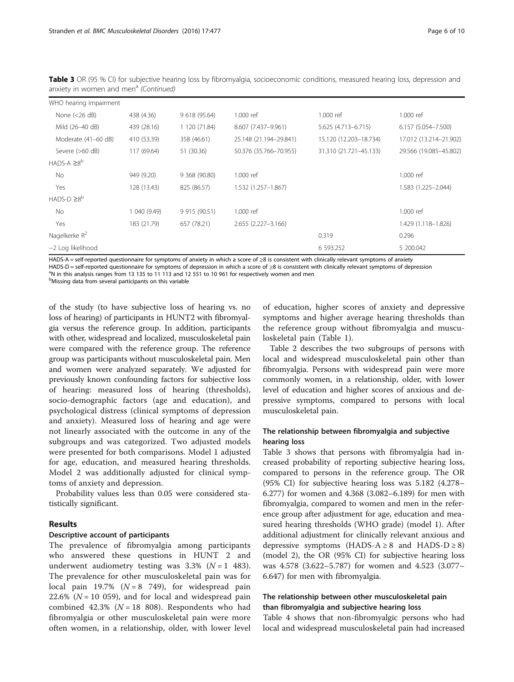| WHO hearing impairment |              |               |                        |                        |                        |
|------------------------|--------------|---------------|------------------------|------------------------|------------------------|
| None $(<26$ dB)        | 438 (4.36)   | 9 618 (95.64) | 1.000 ref              | 1.000 ref              | 1.000 ref              |
| Mild (26-40 dB)        | 439 (28.16)  | 1 120 (71.84) | 8.607 (7.437-9.961)    | 5.625 (4.713-6.715)    | $6.157(5.054 - 7.500)$ |
| Moderate (41-60 dB)    | 410 (53.39)  | 358 (46.61)   | 25.148 (21.194-29.841) | 15.120 (12.203-18.734) | 17.012 (13.214-21.902) |
| Severe $(>60$ dB)      | 117 (69.64)  | 51 (30.36)    | 50.376 (35.766-70.955) | 31.310 (21.721-45.133) | 29.566 (19.085-45.802) |
| $HADS-A \geq 8^b$      |              |               |                        |                        |                        |
| No.                    | 949 (9.20)   | 9 368 (90.80) | 1.000 ref              |                        | 1.000 ref              |
| Yes                    | 128 (13.43)  | 825 (86.57)   | 1.532 (1.257-1.867)    |                        | 1.583 (1.225-2.044)    |
| $HADS-D \ge 8^b$       |              |               |                        |                        |                        |
| No                     | 1 040 (9.49) | 9 915 (90.51) | 1.000 ref              |                        | 1.000 ref              |
| Yes                    | 183 (21.79)  | 657 (78.21)   | 2.655 (2.227-3.166)    |                        | 1.429 (1.118-1.826)    |
| Nagelkerke $R^2$       |              |               |                        | 0.319                  | 0.296                  |
| -2 Log likelihood      |              |               |                        | 6 593.252              | 5 200.042              |

Table 3 OR (95 % CI) for subjective hearing loss by fibromyalgia, socioeconomic conditions, measured hearing loss, depression and anxiety in women and men<sup>a</sup> (Continued)

HADS-A = self-reported questionnaire for symptoms of anxiety in which a score of ≥8 is consistent with clinically relevant symptoms of anxiety HADS-D = self-reported questionnaire for symptoms of depression in which a score of ≥8 is consistent with clinically relevant symptoms of depression

 $n$ <sup>a</sup>N in this analysis ranges from 13 135 to 11 113 and 12 551 to 10 961 for respectively women and men

<sup>b</sup>Missing data from several participants on this variable

of the study (to have subjective loss of hearing vs. no loss of hearing) of participants in HUNT2 with fibromyalgia versus the reference group. In addition, participants with other, widespread and localized, musculoskeletal pain were compared with the reference group. The reference group was participants without musculoskeletal pain. Men and women were analyzed separately. We adjusted for previously known confounding factors for subjective loss of hearing: measured loss of hearing (thresholds), socio-demographic factors (age and education), and psychological distress (clinical symptoms of depression and anxiety). Measured loss of hearing and age were not linearly associated with the outcome in any of the subgroups and was categorized. Two adjusted models were presented for both comparisons. Model 1 adjusted for age, education, and measured hearing thresholds. Model 2 was additionally adjusted for clinical symptoms of anxiety and depression.

Probability values less than 0.05 were considered statistically significant.

## Results

## Descriptive account of participants

The prevalence of fibromyalgia among participants who answered these questions in HUNT 2 and underwent audiometry testing was  $3.3\%$  ( $N = 1$  483). The prevalence for other musculoskeletal pain was for local pain 19.7% ( $N = 8$  749), for widespread pain 22.6% ( $N = 10$  059), and for local and widespread pain combined 42.3% ( $N = 18$  808). Respondents who had fibromyalgia or other musculoskeletal pain were more often women, in a relationship, older, with lower level

of education, higher scores of anxiety and depressive symptoms and higher average hearing thresholds than the reference group without fibromyalgia and musculoskeletal pain (Table [1](#page-3-0)).

Table [2](#page-3-0) describes the two subgroups of persons with local and widespread musculoskeletal pain other than fibromyalgia. Persons with widespread pain were more commonly women, in a relationship, older, with lower level of education and higher scores of anxious and depressive symptoms, compared to persons with local musculoskeletal pain.

## The relationship between fibromyalgia and subjective hearing loss

Table [3](#page-4-0) shows that persons with fibromyalgia had increased probability of reporting subjective hearing loss, compared to persons in the reference group. The OR (95% CI) for subjective hearing loss was 5.182 (4.278– 6.277) for women and 4.368 (3.082–6.189) for men with fibromyalgia, compared to women and men in the reference group after adjustment for age, education and measured hearing thresholds (WHO grade) (model 1). After additional adjustment for clinically relevant anxious and depressive symptoms (HADS-A  $\geq 8$  and HADS-D  $\geq 8$ ) (model 2), the OR (95% CI) for subjective hearing loss was 4.578 (3.622–5.787) for women and 4.523 (3.077– 6.647) for men with fibromyalgia.

## The relationship between other musculoskeletal pain than fibromyalgia and subjective hearing loss

Table [4](#page-6-0) shows that non-fibromyalgic persons who had local and widespread musculoskeletal pain had increased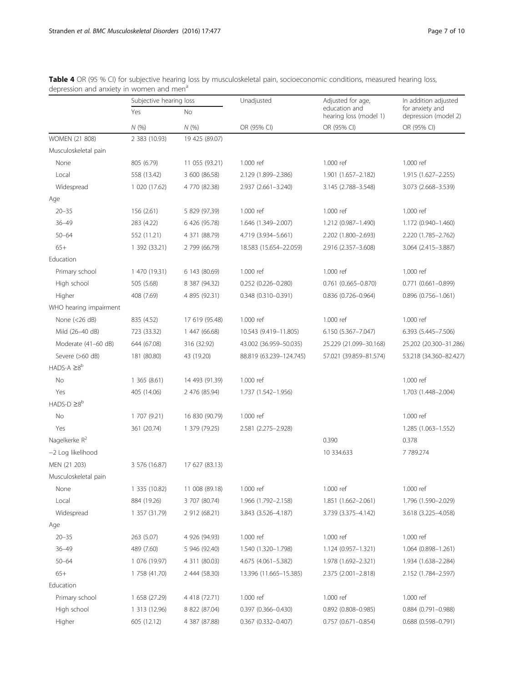|                        | Subjective hearing loss |                | Unadjusted                | Adjusted for age,                       | In addition adjusted                    |
|------------------------|-------------------------|----------------|---------------------------|-----------------------------------------|-----------------------------------------|
|                        | Yes                     | No             |                           | education and<br>hearing loss (model 1) | for anxiety and<br>depression (model 2) |
|                        | N(%)                    | N(%            | OR (95% CI)               | OR (95% CI)                             | OR (95% CI)                             |
| WOMEN (21 808)         | 2 383 (10.93)           | 19 425 (89.07) |                           |                                         |                                         |
| Musculoskeletal pain   |                         |                |                           |                                         |                                         |
| None                   | 805 (6.79)              | 11 055 (93.21) | 1.000 ref                 | 1.000 ref                               | 1.000 ref                               |
| Local                  | 558 (13.42)             | 3 600 (86.58)  | 2.129 (1.899-2.386)       | 1.901 (1.657-2.182)                     | 1.915 (1.627-2.255)                     |
| Widespread             | 1 020 (17.62)           | 4 770 (82.38)  | 2.937 (2.661-3.240)       | 3.145 (2.788-3.548)                     | 3.073 (2.668-3.539)                     |
| Age                    |                         |                |                           |                                         |                                         |
| $20 - 35$              | 156(2.61)               | 5 829 (97.39)  | 1.000 ref                 | 1.000 ref                               | 1.000 ref                               |
| $36 - 49$              | 283 (4.22)              | 6 426 (95.78)  | 1.646 (1.349-2.007)       | 1.212 (0.987-1.490)                     | 1.172 (0.940-1.460)                     |
| $50 - 64$              | 552 (11.21)             | 4 371 (88.79)  | 4.719 (3.934-5.661)       | 2.202 (1.800-2.693)                     | 2.220 (1.785-2.762)                     |
| $65+$                  | 1 392 (33.21)           | 2 799 (66.79)  | 18.583 (15.654-22.059)    | 2.916 (2.357-3.608)                     | 3.064 (2.415-3.887)                     |
| Education              |                         |                |                           |                                         |                                         |
| Primary school         | 1 470 (19.31)           | 6 143 (80.69)  | 1.000 ref                 | 1.000 ref                               | 1.000 ref                               |
| High school            | 505 (5.68)              | 8 387 (94.32)  | $0.252(0.226 - 0.280)$    | $0.761$ $(0.665 - 0.870)$               | $0.771(0.661 - 0.899)$                  |
| Higher                 | 408 (7.69)              | 4 895 (92.31)  | 0.348 (0.310-0.391)       | 0.836 (0.726-0.964)                     | $0.896(0.756 - 1.061)$                  |
| WHO hearing impairment |                         |                |                           |                                         |                                         |
| None $(<26 dB)$        | 835 (4.52)              | 17 619 (95.48) | 1.000 ref                 | 1.000 ref                               | 1.000 ref                               |
| Mild (26-40 dB)        | 723 (33.32)             | 1 447 (66.68)  | 10.543 (9.419-11.805)     | 6.150 (5.367-7.047)                     | 6.393 (5.445-7.506)                     |
| Moderate (41-60 dB)    | 644 (67.08)             | 316 (32.92)    | 43.002 (36.959-50.035)    | 25.229 (21.099-30.168)                  | 25.202 (20.300-31.286)                  |
| Severe (>60 dB)        | 181 (80.80)             | 43 (19.20)     | 88.819 (63.239-124.745)   | 57.021 (39.859-81.574)                  | 53.218 (34.360-82.427)                  |
| $HADS-A \geq 8^b$      |                         |                |                           |                                         |                                         |
| No                     | 1365(8.61)              | 14 493 (91.39) | 1.000 ref                 |                                         | 1.000 ref                               |
| Yes                    | 405 (14.06)             | 2 476 (85.94)  | 1.737 (1.542–1.956)       |                                         | 1.703 (1.448-2.004)                     |
| $HADS-D \ge 8^b$       |                         |                |                           |                                         |                                         |
| No                     | 1 707 (9.21)            | 16 830 (90.79) | 1.000 ref                 |                                         | 1.000 ref                               |
| Yes                    | 361 (20.74)             | 1 379 (79.25)  | 2.581 (2.275-2.928)       |                                         | 1.285 (1.063-1.552)                     |
| Nagelkerke $R^2$       |                         |                |                           | 0.390                                   | 0.378                                   |
| -2 Log likelihood      |                         |                |                           | 10 334.633                              | 7 789.274                               |
| MEN (21 203)           | 3 576 (16.87)           | 17 627 (83.13) |                           |                                         |                                         |
| Musculoskeletal pain   |                         |                |                           |                                         |                                         |
| None                   | 1 335 (10.82)           | 11 008 (89.18) | 1.000 ref                 | 1.000 ref                               | 1.000 ref                               |
| Local                  | 884 (19.26)             | 3 707 (80.74)  | 1.966 (1.792-2.158)       | 1.851 (1.662-2.061)                     | 1.796 (1.590-2.029)                     |
| Widespread             | 1 357 (31.79)           | 2 912 (68.21)  | 3.843 (3.526-4.187)       | 3.739 (3.375-4.142)                     | 3.618 (3.225-4.058)                     |
| Age                    |                         |                |                           |                                         |                                         |
| $20 - 35$              | 263 (5.07)              | 4 926 (94.93)  | 1.000 ref                 | 1.000 ref                               | 1.000 ref                               |
| $36 - 49$              | 489 (7.60)              | 5 946 (92.40)  | 1.540 (1.320-1.798)       | 1.124 (0.957-1.321)                     | 1.064 (0.898-1.261)                     |
| $50 - 64$              | 1 076 (19.97)           | 4 311 (80.03)  | 4.675 (4.061-5.382)       | 1.978 (1.692-2.321)                     | 1.934 (1.638-2.284)                     |
| $65+$                  | 1 758 (41.70)           | 2 444 (58.30)  | 13.396 (11.665-15.385)    | 2.375 (2.001-2.818)                     | 2.152 (1.784-2.597)                     |
| Education              |                         |                |                           |                                         |                                         |
| Primary school         | 1 658 (27.29)           | 4 418 (72.71)  | 1.000 ref                 | 1.000 ref                               | 1.000 ref                               |
| High school            | 1 313 (12.96)           | 8 822 (87.04)  | 0.397 (0.366-0.430)       | $0.892$ (0.808-0.985)                   | 0.884 (0.791-0.988)                     |
| Higher                 | 605 (12.12)             | 4 387 (87.88)  | $0.367$ $(0.332 - 0.407)$ | $0.757$ $(0.671 - 0.854)$               | 0.688 (0.598-0.791)                     |

<span id="page-6-0"></span>Table 4 OR (95 % CI) for subjective hearing loss by musculoskeletal pain, socioeconomic conditions, measured hearing loss, depression and anxiety in women and men<sup>a</sup>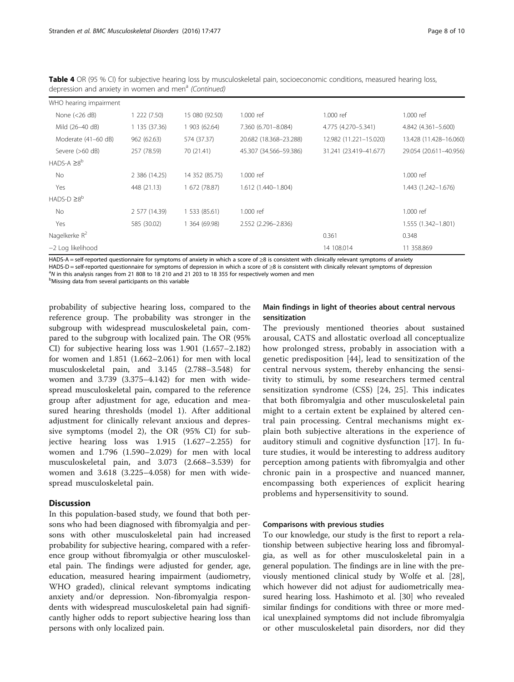| WHO hearing impairment |               |                |                        |                        |                        |
|------------------------|---------------|----------------|------------------------|------------------------|------------------------|
| None $(<26$ dB)        | 222 (7.50)    | 15 080 (92.50) | 1.000 ref              | 1.000 ref              | 1.000 ref              |
| Mild (26-40 dB)        | 1 135 (37.36) | 1 903 (62.64)  | 7.360 (6.701-8.084)    | 4.775 (4.270-5.341)    | 4.842 (4.361-5.600)    |
| Moderate (41-60 dB)    | 962 (62.63)   | 574 (37.37)    | 20.682 (18.368-23.288) | 12.982 (11.221-15.020) | 13.428 (11.428-16.060) |
| Severe (>60 dB)        | 257 (78.59)   | 70 (21.41)     | 45.307 (34.566-59.386) | 31.241 (23.419-41.677) | 29.054 (20.611-40.956) |
| HADS-A $\geq 8^b$      |               |                |                        |                        |                        |
| No.                    | 2 386 (14.25) | 14 352 (85.75) | 1.000 ref              |                        | 1.000 ref              |
| Yes                    | 448 (21.13)   | 1 672 (78.87)  | 1.612 (1.440-1.804)    |                        | 1.443 (1.242-1.676)    |
| $HADS-D \ge 8^b$       |               |                |                        |                        |                        |
| No.                    | 2 577 (14.39) | 1 533 (85.61)  | 1.000 ref              |                        | 1.000 ref              |
| Yes                    | 585 (30.02)   | 1 364 (69.98)  | 2.552 (2.296-2.836)    |                        | 1.555 (1.342-1.801)    |
| Nagelkerke $R^2$       |               |                |                        | 0.361                  | 0.348                  |
| -2 Log likelihood      |               |                |                        | 14 108.014             | 11 358.869             |

Table 4 OR (95 % CI) for subjective hearing loss by musculoskeletal pain, socioeconomic conditions, measured hearing loss, depression and anxiety in women and men<sup>a</sup> (Continued)

HADS-A = self-reported questionnaire for symptoms of anxiety in which a score of ≥8 is consistent with clinically relevant symptoms of anxiety HADS-D = self-reported questionnaire for symptoms of depression in which a score of ≥8 is consistent with clinically relevant symptoms of depression

 $N$  in this analysis ranges from 21 808 to 18 210 and 21 203 to 18 355 for respectively women and men

**Missing data from several participants on this variable** 

probability of subjective hearing loss, compared to the reference group. The probability was stronger in the subgroup with widespread musculoskeletal pain, compared to the subgroup with localized pain. The OR (95% CI) for subjective hearing loss was 1.901 (1.657–2.182) for women and 1.851 (1.662–2.061) for men with local musculoskeletal pain, and 3.145 (2.788–3.548) for women and 3.739 (3.375–4.142) for men with widespread musculoskeletal pain, compared to the reference group after adjustment for age, education and measured hearing thresholds (model 1). After additional adjustment for clinically relevant anxious and depressive symptoms (model 2), the OR (95% CI) for subjective hearing loss was 1.915 (1.627–2.255) for women and 1.796 (1.590–2.029) for men with local musculoskeletal pain, and 3.073 (2.668–3.539) for women and 3.618 (3.225–4.058) for men with widespread musculoskeletal pain.

## **Discussion**

In this population-based study, we found that both persons who had been diagnosed with fibromyalgia and persons with other musculoskeletal pain had increased probability for subjective hearing, compared with a reference group without fibromyalgia or other musculoskeletal pain. The findings were adjusted for gender, age, education, measured hearing impairment (audiometry, WHO graded), clinical relevant symptoms indicating anxiety and/or depression. Non-fibromyalgia respondents with widespread musculoskeletal pain had significantly higher odds to report subjective hearing loss than persons with only localized pain.

## Main findings in light of theories about central nervous sensitization

The previously mentioned theories about sustained arousal, CATS and allostatic overload all conceptualize how prolonged stress, probably in association with a genetic predisposition [[44](#page-9-0)], lead to sensitization of the central nervous system, thereby enhancing the sensitivity to stimuli, by some researchers termed central sensitization syndrome (CSS) [\[24](#page-9-0), [25\]](#page-9-0). This indicates that both fibromyalgia and other musculoskeletal pain might to a certain extent be explained by altered central pain processing. Central mechanisms might explain both subjective alterations in the experience of auditory stimuli and cognitive dysfunction [\[17](#page-9-0)]. In future studies, it would be interesting to address auditory perception among patients with fibromyalgia and other chronic pain in a prospective and nuanced manner, encompassing both experiences of explicit hearing problems and hypersensitivity to sound.

#### Comparisons with previous studies

To our knowledge, our study is the first to report a relationship between subjective hearing loss and fibromyalgia, as well as for other musculoskeletal pain in a general population. The findings are in line with the previously mentioned clinical study by Wolfe et al. [\[28](#page-9-0)], which however did not adjust for audiometrically measured hearing loss. Hashimoto et al. [\[30\]](#page-9-0) who revealed similar findings for conditions with three or more medical unexplained symptoms did not include fibromyalgia or other musculoskeletal pain disorders, nor did they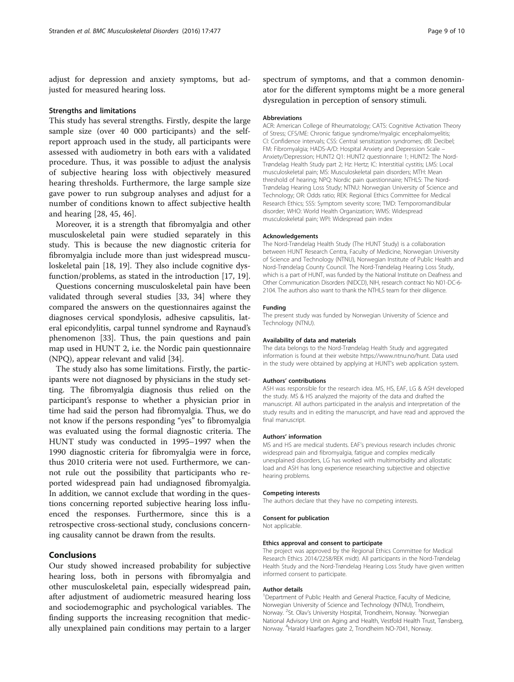adjust for depression and anxiety symptoms, but adjusted for measured hearing loss.

#### Strengths and limitations

This study has several strengths. Firstly, despite the large sample size (over 40 000 participants) and the selfreport approach used in the study, all participants were assessed with audiometry in both ears with a validated procedure. Thus, it was possible to adjust the analysis of subjective hearing loss with objectively measured hearing thresholds. Furthermore, the large sample size gave power to run subgroup analyses and adjust for a number of conditions known to affect subjective health and hearing [\[28](#page-9-0), [45](#page-9-0), [46\]](#page-9-0).

Moreover, it is a strength that fibromyalgia and other musculoskeletal pain were studied separately in this study. This is because the new diagnostic criteria for fibromyalgia include more than just widespread musculoskeletal pain [\[18](#page-9-0), [19\]](#page-9-0). They also include cognitive dysfunction/problems, as stated in the introduction [\[17, 19\]](#page-9-0).

Questions concerning musculoskeletal pain have been validated through several studies [\[33, 34](#page-9-0)] where they compared the answers on the questionnaires against the diagnoses cervical spondylosis, adhesive capsulitis, lateral epicondylitis, carpal tunnel syndrome and Raynaud's phenomenon [\[33\]](#page-9-0). Thus, the pain questions and pain map used in HUNT 2, i.e. the Nordic pain questionnaire (NPQ), appear relevant and valid [[34\]](#page-9-0).

The study also has some limitations. Firstly, the participants were not diagnosed by physicians in the study setting. The fibromyalgia diagnosis thus relied on the participant's response to whether a physician prior in time had said the person had fibromyalgia. Thus, we do not know if the persons responding "yes" to fibromyalgia was evaluated using the formal diagnostic criteria. The HUNT study was conducted in 1995–1997 when the 1990 diagnostic criteria for fibromyalgia were in force, thus 2010 criteria were not used. Furthermore, we cannot rule out the possibility that participants who reported widespread pain had undiagnosed fibromyalgia. In addition, we cannot exclude that wording in the questions concerning reported subjective hearing loss influenced the responses. Furthermore, since this is a retrospective cross-sectional study, conclusions concerning causality cannot be drawn from the results.

# Conclusions

Our study showed increased probability for subjective hearing loss, both in persons with fibromyalgia and other musculoskeletal pain, especially widespread pain, after adjustment of audiometric measured hearing loss and sociodemographic and psychological variables. The finding supports the increasing recognition that medically unexplained pain conditions may pertain to a larger

spectrum of symptoms, and that a common denominator for the different symptoms might be a more general dysregulation in perception of sensory stimuli.

#### Abbreviations

ACR: American College of Rheumatology; CATS: Cognitive Activation Theory of Stress; CFS/ME: Chronic fatigue syndrome/myalgic encephalomyelitis; CI: Confidence intervals; CSS: Central sensitization syndromes; dB: Decibel; FM: Fibromyalgia; HADS-A/D: Hospital Anxiety and Depression Scale – Anxiety/Depression; HUNT2 Q1: HUNT2 questionnaire 1; HUNT2: The Nord-Trøndelag Health Study part 2; Hz: Hertz; IC: Interstitial cystitis; LMS: Local musculoskeletal pain; MS: Musculoskeletal pain disorders; MTH: Mean threshold of hearing; NPQ: Nordic pain questionnaire; NTHLS: The Nord-Trøndelag Hearing Loss Study; NTNU: Norwegian University of Science and Technology; OR: Odds ratio; REK: Regional Ethics Committee for Medical Research Ethics; SSS: Symptom severity score; TMD: Temporomandibular disorder; WHO: World Health Organization; WMS: Widespread musculoskeletal pain; WPI: Widespread pain index

#### Acknowledgements

The Nord-Trøndelag Health Study (The HUNT Study) is a collaboration between HUNT Research Centra, Faculty of Medicine, Norwegian University of Science and Technology (NTNU), Norwegian Institute of Public Health and Nord-Trøndelag County Council. The Nord-Trøndelag Hearing Loss Study, which is a part of HUNT, was funded by the National Institute on Deafness and Other Communication Disorders (NIDCD), NIH, research contract No N01-DC-6- 2104. The authors also want to thank the NTHLS team for their diligence.

#### Funding

The present study was funded by Norwegian University of Science and Technology (NTNU).

#### Availability of data and materials

The data belongs to the Nord-Trøndelag Health Study and aggregated information is found at their website<https://www.ntnu.no/hunt>. Data used in the study were obtained by applying at HUNT's web application system.

#### Authors' contributions

ASH was responsible for the research idea. MS, HS, EAF, LG & ASH developed the study. MS & HS analyzed the majority of the data and drafted the manuscript. All authors participated in the analysis and interpretation of the study results and in editing the manuscript, and have read and approved the final manuscript.

#### Authors' information

MS and HS are medical students. EAF's previous research includes chronic widespread pain and fibromyalgia, fatigue and complex medically unexplained disorders, LG has worked with multimorbidity and allostatic load and ASH has long experience researching subjective and objective hearing problems.

#### Competing interests

The authors declare that they have no competing interests.

#### Consent for publication

Not applicable.

#### Ethics approval and consent to participate

The project was approved by the Regional Ethics Committee for Medical Research Ethics 2014/2258/REK midt). All participants in the Nord-Trøndelag Health Study and the Nord-Trøndelag Hearing Loss Study have given written informed consent to participate.

#### Author details

<sup>1</sup>Department of Public Health and General Practice, Faculty of Medicine, Norwegian University of Science and Technology (NTNU), Trondheim, Norway. <sup>2</sup>St. Olav's University Hospital, Trondheim, Norway. <sup>3</sup>Norwegian National Advisory Unit on Aging and Health, Vestfold Health Trust, Tønsberg, Norway. <sup>4</sup>Harald Haarfagres gate 2, Trondheim NO-7041, Norway